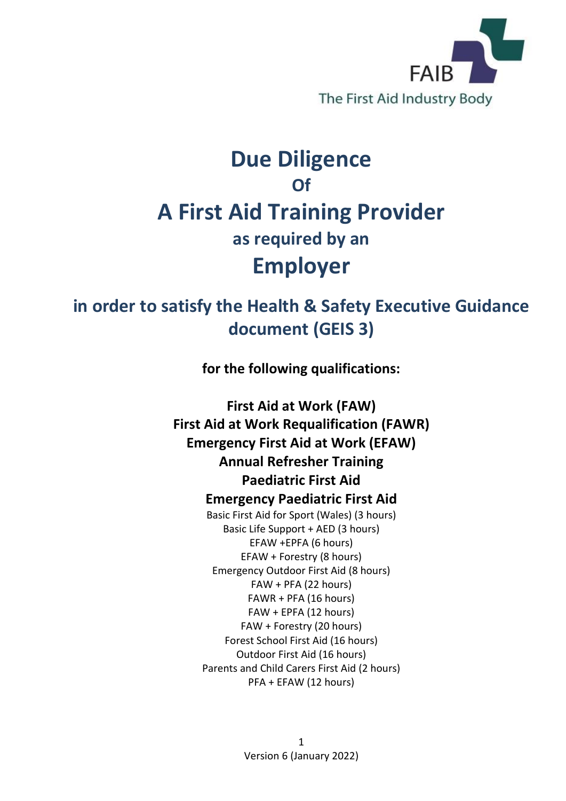

## **Due Diligence Of A First Aid Training Provider as required by an Employer**

## **in order to satisfy the Health & Safety Executive Guidance document (GEIS 3)**

**for the following qualifications:**

**First Aid at Work (FAW) First Aid at Work Requalification (FAWR) Emergency First Aid at Work (EFAW) Annual Refresher Training Paediatric First Aid Emergency Paediatric First Aid** Basic First Aid for Sport (Wales) (3 hours) Basic Life Support + AED (3 hours) EFAW +EPFA (6 hours) EFAW + Forestry (8 hours) Emergency Outdoor First Aid (8 hours) FAW + PFA (22 hours) FAWR + PFA (16 hours) FAW + EPFA (12 hours) FAW + Forestry (20 hours) Forest School First Aid (16 hours) Outdoor First Aid (16 hours) Parents and Child Carers First Aid (2 hours) PFA + EFAW (12 hours)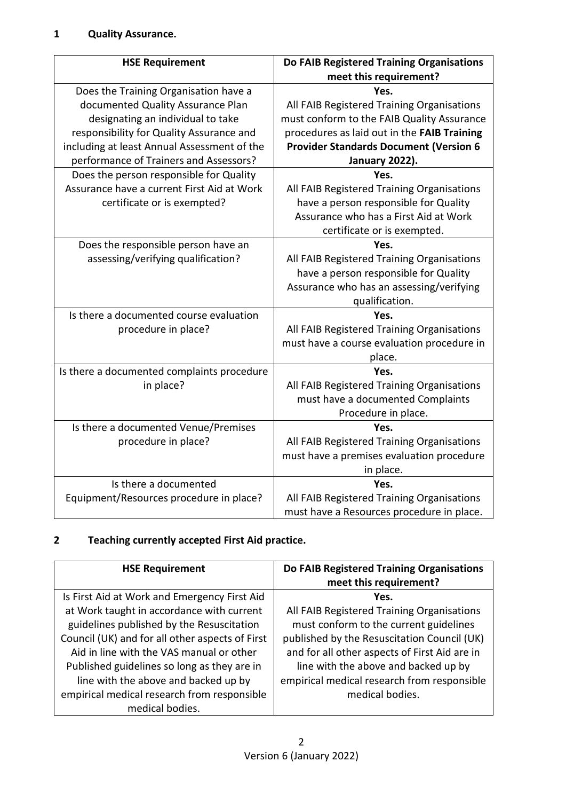| <b>HSE Requirement</b>                      | Do FAIB Registered Training Organisations<br>meet this requirement? |
|---------------------------------------------|---------------------------------------------------------------------|
| Does the Training Organisation have a       | Yes.                                                                |
| documented Quality Assurance Plan           | All FAIB Registered Training Organisations                          |
| designating an individual to take           | must conform to the FAIB Quality Assurance                          |
| responsibility for Quality Assurance and    | procedures as laid out in the FAIB Training                         |
| including at least Annual Assessment of the | <b>Provider Standards Document (Version 6</b>                       |
| performance of Trainers and Assessors?      | January 2022).                                                      |
| Does the person responsible for Quality     | Yes.                                                                |
| Assurance have a current First Aid at Work  | All FAIB Registered Training Organisations                          |
| certificate or is exempted?                 | have a person responsible for Quality                               |
|                                             | Assurance who has a First Aid at Work                               |
|                                             | certificate or is exempted.                                         |
| Does the responsible person have an         | Yes.                                                                |
| assessing/verifying qualification?          | All FAIB Registered Training Organisations                          |
|                                             | have a person responsible for Quality                               |
|                                             | Assurance who has an assessing/verifying                            |
|                                             | qualification.                                                      |
| Is there a documented course evaluation     | Yes.                                                                |
| procedure in place?                         | All FAIB Registered Training Organisations                          |
|                                             | must have a course evaluation procedure in                          |
|                                             | place.                                                              |
| Is there a documented complaints procedure  | Yes.                                                                |
| in place?                                   | All FAIB Registered Training Organisations                          |
|                                             | must have a documented Complaints                                   |
|                                             | Procedure in place.                                                 |
| Is there a documented Venue/Premises        | Yes.                                                                |
| procedure in place?                         | All FAIB Registered Training Organisations                          |
|                                             | must have a premises evaluation procedure                           |
|                                             | in place.                                                           |
| Is there a documented                       | Yes.                                                                |
| Equipment/Resources procedure in place?     | All FAIB Registered Training Organisations                          |
|                                             | must have a Resources procedure in place.                           |

## **2 Teaching currently accepted First Aid practice.**

| <b>HSE Requirement</b>                          | Do FAIB Registered Training Organisations<br>meet this requirement? |
|-------------------------------------------------|---------------------------------------------------------------------|
| Is First Aid at Work and Emergency First Aid    | Yes.                                                                |
| at Work taught in accordance with current       | All FAIB Registered Training Organisations                          |
| guidelines published by the Resuscitation       | must conform to the current guidelines                              |
| Council (UK) and for all other aspects of First | published by the Resuscitation Council (UK)                         |
| Aid in line with the VAS manual or other        | and for all other aspects of First Aid are in                       |
| Published guidelines so long as they are in     | line with the above and backed up by                                |
| line with the above and backed up by            | empirical medical research from responsible                         |
| empirical medical research from responsible     | medical bodies.                                                     |
| medical bodies.                                 |                                                                     |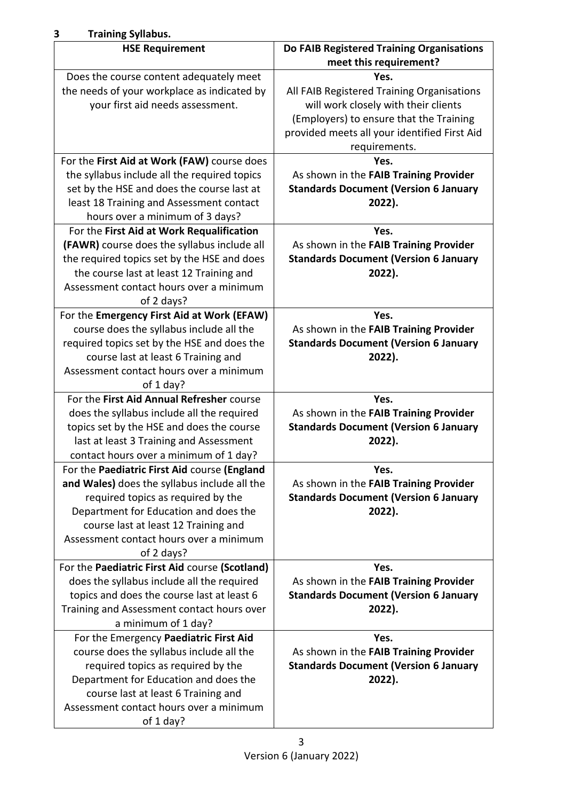| <b>Training Syllabus.</b><br>3                                                                                                                                                                                                                                               |                                                                                                                                                                                       |
|------------------------------------------------------------------------------------------------------------------------------------------------------------------------------------------------------------------------------------------------------------------------------|---------------------------------------------------------------------------------------------------------------------------------------------------------------------------------------|
| <b>HSE Requirement</b>                                                                                                                                                                                                                                                       | Do FAIB Registered Training Organisations                                                                                                                                             |
|                                                                                                                                                                                                                                                                              | meet this requirement?                                                                                                                                                                |
| Does the course content adequately meet<br>the needs of your workplace as indicated by<br>your first aid needs assessment.                                                                                                                                                   | Yes.<br>All FAIB Registered Training Organisations<br>will work closely with their clients<br>(Employers) to ensure that the Training<br>provided meets all your identified First Aid |
| For the First Aid at Work (FAW) course does                                                                                                                                                                                                                                  | requirements.<br>Yes.                                                                                                                                                                 |
| the syllabus include all the required topics<br>set by the HSE and does the course last at<br>least 18 Training and Assessment contact<br>hours over a minimum of 3 days?                                                                                                    | As shown in the FAIB Training Provider<br><b>Standards Document (Version 6 January</b><br>2022).                                                                                      |
| For the First Aid at Work Requalification<br>(FAWR) course does the syllabus include all<br>the required topics set by the HSE and does<br>the course last at least 12 Training and<br>Assessment contact hours over a minimum<br>of 2 days?                                 | Yes.<br>As shown in the FAIB Training Provider<br><b>Standards Document (Version 6 January</b><br>2022).                                                                              |
| For the Emergency First Aid at Work (EFAW)<br>course does the syllabus include all the<br>required topics set by the HSE and does the<br>course last at least 6 Training and<br>Assessment contact hours over a minimum<br>of 1 day?                                         | Yes.<br>As shown in the FAIB Training Provider<br><b>Standards Document (Version 6 January</b><br>2022).                                                                              |
| For the First Aid Annual Refresher course<br>does the syllabus include all the required<br>topics set by the HSE and does the course<br>last at least 3 Training and Assessment<br>contact hours over a minimum of 1 day?                                                    | Yes.<br>As shown in the FAIB Training Provider<br><b>Standards Document (Version 6 January</b><br>2022).                                                                              |
| For the Paediatric First Aid course (England<br>and Wales) does the syllabus include all the<br>required topics as required by the<br>Department for Education and does the<br>course last at least 12 Training and<br>Assessment contact hours over a minimum<br>of 2 days? | Yes.<br>As shown in the FAIB Training Provider<br><b>Standards Document (Version 6 January</b><br>2022).                                                                              |
| For the Paediatric First Aid course (Scotland)<br>does the syllabus include all the required<br>topics and does the course last at least 6<br>Training and Assessment contact hours over<br>a minimum of 1 day?                                                              | Yes.<br>As shown in the FAIB Training Provider<br><b>Standards Document (Version 6 January</b><br>2022).                                                                              |
| For the Emergency Paediatric First Aid<br>course does the syllabus include all the<br>required topics as required by the<br>Department for Education and does the<br>course last at least 6 Training and<br>Assessment contact hours over a minimum<br>of 1 day?             | Yes.<br>As shown in the FAIB Training Provider<br><b>Standards Document (Version 6 January</b><br>2022).                                                                              |